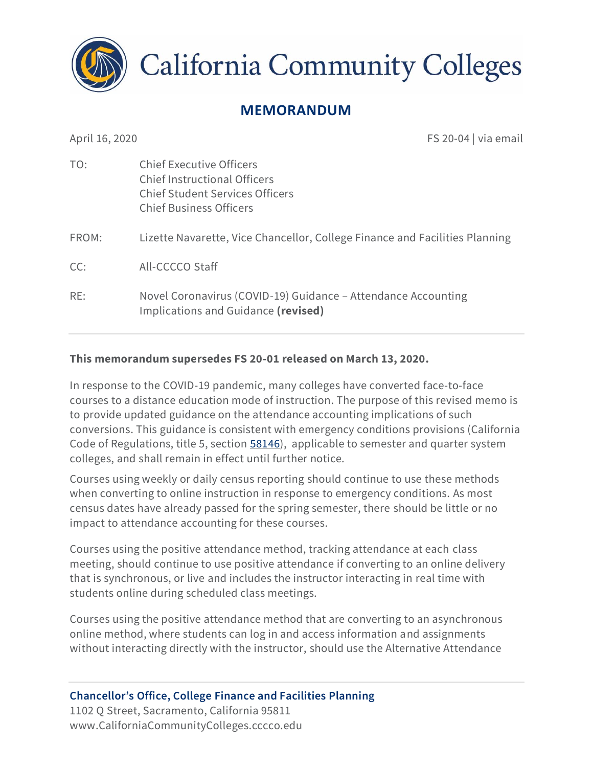

**California Community Colleges** 

# **MEMORANDUM**

April 16, 2020 **FS 20-04** | via email

| TO:   | <b>Chief Executive Officers</b><br><b>Chief Instructional Officers</b><br>Chief Student Services Officers<br><b>Chief Business Officers</b> |
|-------|---------------------------------------------------------------------------------------------------------------------------------------------|
| FROM: | Lizette Navarette, Vice Chancellor, College Finance and Facilities Planning                                                                 |
| CC:   | All-CCCCO Staff                                                                                                                             |
| RE:   | Novel Coronavirus (COVID-19) Guidance – Attendance Accounting<br>Implications and Guidance (revised)                                        |

#### **This memorandum supersedes FS 20-01 released on March 13, 2020.**

In response to the COVID-19 pandemic, many colleges have converted face-to-face courses to a distance education mode of instruction. The purpose of this revised memo is to provide updated guidance on the attendance accounting implications of such conversions. This guidance is consistent with emergency conditions provisions (California Code of Regulations, title 5, section [58146\)](https://govt.westlaw.com/calregs/Document/I949118410CFA4A6AA20ECCC3726BD6B0?viewType=FullText&listSource=Search&originationContext=Search+Result&transitionType=SearchItem&contextData=(sc.Search)&navigationPath=Search%2fv1%2fresults%2fnavigation%2fi0ad7140a000001713d352d3db2f82c35%3fNav%3dREGULATION_PUBLICVIEW%26fragmentIdentifier%3dI949118410CFA4A6AA20ECCC3726BD6B0%26startIndex%3d1%26transitionType%3dSearchItem%26contextData%3d%2528sc.Default%2529%26originationContext%3dSearch%2520Result&list=REGULATION_PUBLICVIEW&rank=1&t_T2=58146&t_S1=CA+ADC+s), applicable to semester and quarter system colleges, and shall remain in effect until further notice.

Courses using weekly or daily census reporting should continue to use these methods when converting to online instruction in response to emergency conditions. As most census dates have already passed for the spring semester, there should be little or no impact to attendance accounting for these courses.

Courses using the positive attendance method, tracking attendance at each class meeting, should continue to use positive attendance if converting to an online delivery that is synchronous, or live and includes the instructor interacting in real time with students online during scheduled class meetings.

Courses using the positive attendance method that are converting to an asynchronous online method, where students can log in and access information and assignments without interacting directly with the instructor, should use the Alternative Attendance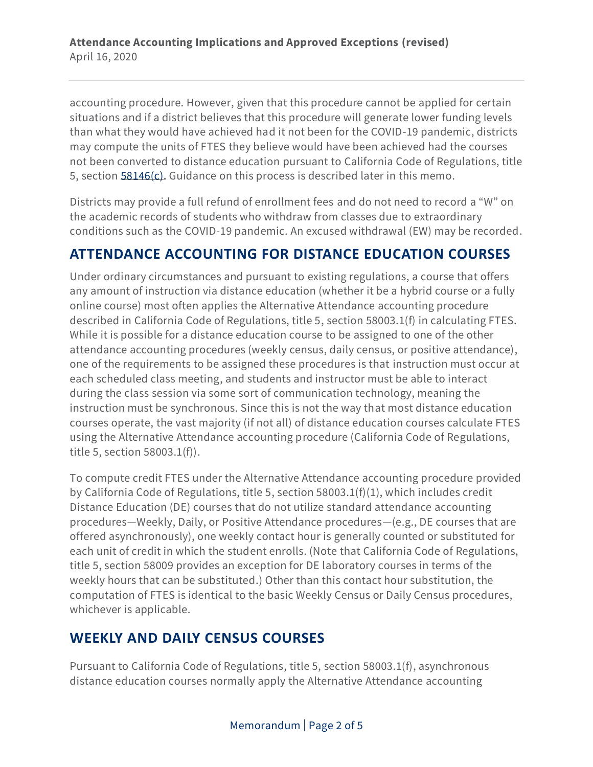accounting procedure. However, given that this procedure cannot be applied for certain situations and if a district believes that this procedure will generate lower funding levels than what they would have achieved had it not been for the COVID-19 pandemic, districts may compute the units of FTES they believe would have been achieved had the courses not been converted to distance education pursuant to California Code of Regulations, title 5, section [58146\(](https://govt.westlaw.com/calregs/Document/I949118410CFA4A6AA20ECCC3726BD6B0?viewType=FullText&listSource=Search&originationContext=Search+Result&transitionType=SearchItem&contextData=(sc.Search)&navigationPath=Search%2fv1%2fresults%2fnavigation%2fi0ad7140a000001713d352d3db2f82c35%3fNav%3dREGULATION_PUBLICVIEW%26fragmentIdentifier%3dI949118410CFA4A6AA20ECCC3726BD6B0%26startIndex%3d1%26transitionType%3dSearchItem%26contextData%3d%2528sc.Default%2529%26originationContext%3dSearch%2520Result&list=REGULATION_PUBLICVIEW&rank=1&t_T2=58146&t_S1=CA+ADC+s)c). Guidance on this process is described later in this memo.

Districts may provide a full refund of enrollment fees and do not need to record a "W" on the academic records of students who withdraw from classes due to extraordinary conditions such as the COVID-19 pandemic. An excused withdrawal (EW) may be recorded.

#### **ATTENDANCE ACCOUNTING FOR DISTANCE EDUCATION COURSES**

Under ordinary circumstances and pursuant to existing regulations, a course that offers any amount of instruction via distance education (whether it be a hybrid course or a fully online course) most often applies the Alternative Attendance accounting procedure described in California Code of Regulations, title 5, section 58003.1(f) in calculating FTES. While it is possible for a distance education course to be assigned to one of the other attendance accounting procedures (weekly census, daily census, or positive attendance), one of the requirements to be assigned these procedures is that instruction must occur at each scheduled class meeting, and students and instructor must be able to interact during the class session via some sort of communication technology, meaning the instruction must be synchronous. Since this is not the way that most distance education courses operate, the vast majority (if not all) of distance education courses calculate FTES using the Alternative Attendance accounting procedure (California Code of Regulations, title 5, section 58003.1(f)).

To compute credit FTES under the Alternative Attendance accounting procedure provided by California Code of Regulations, title 5, section 58003.1(f)(1), which includes credit Distance Education (DE) courses that do not utilize standard attendance accounting procedures—Weekly, Daily, or Positive Attendance procedures—(e.g., DE courses that are offered asynchronously), one weekly contact hour is generally counted or substituted for each unit of credit in which the student enrolls. (Note that California Code of Regulations, title 5, section 58009 provides an exception for DE laboratory courses in terms of the weekly hours that can be substituted.) Other than this contact hour substitution, the computation of FTES is identical to the basic Weekly Census or Daily Census procedures, whichever is applicable.

#### **WEEKLY AND DAILY CENSUS COURSES**

Pursuant to California Code of Regulations, title 5, section 58003.1(f), asynchronous distance education courses normally apply the Alternative Attendance accounting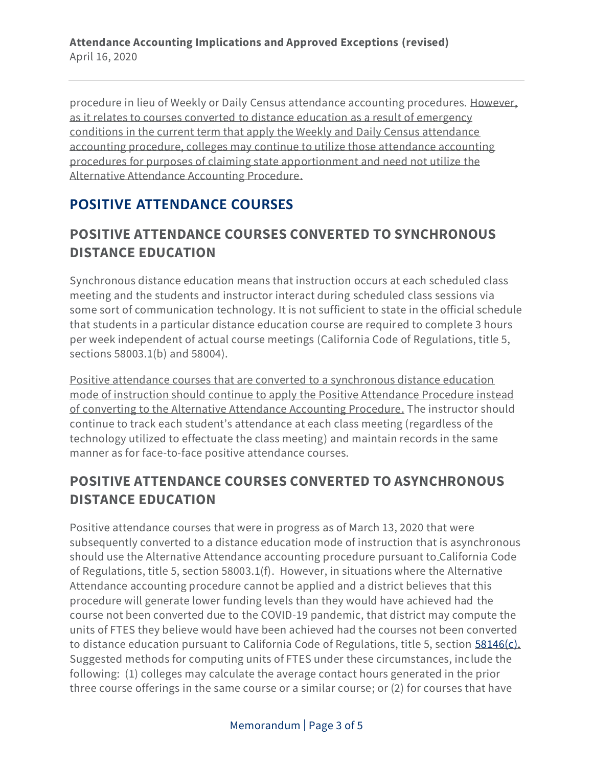procedure in lieu of Weekly or Daily Census attendance accounting procedures. However, as it relates to courses converted to distance education as a result of emergency conditions in the current term that apply the Weekly and Daily Census attendance accounting procedure, colleges may continue to utilize those attendance accounting procedures for purposes of claiming state apportionment and need not utilize the Alternative Attendance Accounting Procedure.

# **POSITIVE ATTENDANCE COURSES**

#### **POSITIVE ATTENDANCE COURSES CONVERTED TO SYNCHRONOUS DISTANCE EDUCATION**

Synchronous distance education means that instruction occurs at each scheduled class meeting and the students and instructor interact during scheduled class sessions via some sort of communication technology. It is not sufficient to state in the official schedule that students in a particular distance education course are required to complete 3 hours per week independent of actual course meetings (California Code of Regulations, title 5, sections 58003.1(b) and 58004).

Positive attendance courses that are converted to a synchronous distance education mode of instruction should continue to apply the Positive Attendance Procedure instead of converting to the Alternative Attendance Accounting Procedure. The instructor should continue to track each student's attendance at each class meeting (regardless of the technology utilized to effectuate the class meeting) and maintain records in the same manner as for face-to-face positive attendance courses.

# **POSITIVE ATTENDANCE COURSES CONVERTED TO ASYNCHRONOUS DISTANCE EDUCATION**

Positive attendance courses that were in progress as of March 13, 2020 that were subsequently converted to a distance education mode of instruction that is asynchronous should use the Alternative Attendance accounting procedure pursuant to California Code of Regulations, title 5, section 58003.1(f). However, in situations where the Alternative Attendance accounting procedure cannot be applied and a district believes that this procedure will generate lower funding levels than they would have achieved had the course not been converted due to the COVID-19 pandemic, that district may compute the units of FTES they believe would have been achieved had the courses not been converted to distance education pursuant to California Code of Regulations, title 5, section [58146\(](https://govt.westlaw.com/calregs/Document/I949118410CFA4A6AA20ECCC3726BD6B0?viewType=FullText&listSource=Search&originationContext=Search+Result&transitionType=SearchItem&contextData=(sc.Search)&navigationPath=Search%2fv1%2fresults%2fnavigation%2fi0ad7140a000001713d352d3db2f82c35%3fNav%3dREGULATION_PUBLICVIEW%26fragmentIdentifier%3dI949118410CFA4A6AA20ECCC3726BD6B0%26startIndex%3d1%26transitionType%3dSearchItem%26contextData%3d%2528sc.Default%2529%26originationContext%3dSearch%2520Result&list=REGULATION_PUBLICVIEW&rank=1&t_T2=58146&t_S1=CA+ADC+s)c). Suggested methods for computing units of FTES under these circumstances, include the following: (1) colleges may calculate the average contact hours generated in the prior three course offerings in the same course or a similar course; or (2) for courses that have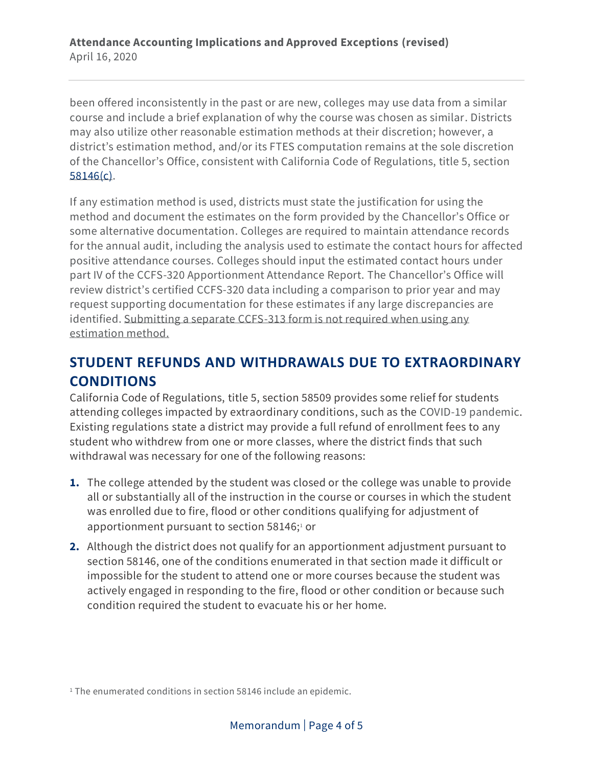been offered inconsistently in the past or are new, colleges may use data from a similar course and include a brief explanation of why the course was chosen as similar. Districts may also utilize other reasonable estimation methods at their discretion; however, a district's estimation method, and/or its FTES computation remains at the sole discretion of the Chancellor's Office, consistent with California Code of Regulations, title 5, section [58146\(](https://govt.westlaw.com/calregs/Document/I949118410CFA4A6AA20ECCC3726BD6B0?viewType=FullText&listSource=Search&originationContext=Search+Result&transitionType=SearchItem&contextData=(sc.Search)&navigationPath=Search%2fv1%2fresults%2fnavigation%2fi0ad7140a000001713d352d3db2f82c35%3fNav%3dREGULATION_PUBLICVIEW%26fragmentIdentifier%3dI949118410CFA4A6AA20ECCC3726BD6B0%26startIndex%3d1%26transitionType%3dSearchItem%26contextData%3d%2528sc.Default%2529%26originationContext%3dSearch%2520Result&list=REGULATION_PUBLICVIEW&rank=1&t_T2=58146&t_S1=CA+ADC+s)c).

If any estimation method is used, districts must state the justification for using the method and document the estimates on the form provided by the Chancellor's Office or some alternative documentation. Colleges are required to maintain attendance records for the annual audit, including the analysis used to estimate the contact hours for affected positive attendance courses. Colleges should input the estimated contact hours under part IV of the CCFS-320 Apportionment Attendance Report. The Chancellor's Office will review district's certified CCFS-320 data including a comparison to prior year and may request supporting documentation for these estimates if any large discrepancies are identified. Submitting a separate CCFS-313 form is not required when using any estimation method.

# **STUDENT REFUNDS AND WITHDRAWALS DUE TO EXTRAORDINARY CONDITIONS**

California Code of Regulations, title 5, section 58509 provides some relief for students attending colleges impacted by extraordinary conditions, such as the COVID-19 pandemic. Existing regulations state a district may provide a full refund of enrollment fees to any student who withdrew from one or more classes, where the district finds that such withdrawal was necessary for one of the following reasons:

- **1.** The college attended by the student was closed or the college was unable to provide all or substantially all of the instruction in the course or courses in which the student was enrolled due to fire, flood or other conditions qualifying for adjustment of apportionment pursuant to section  $58146;1$  or
- **2.** Although the district does not qualify for an apportionment adjustment pursuant to section 58146, one of the conditions enumerated in that section made it difficult or impossible for the student to attend one or more courses because the student was actively engaged in responding to the fire, flood or other condition or because such condition required the student to evacuate his or her home.

<sup>&</sup>lt;sup>1</sup> The enumerated conditions in section 58146 include an epidemic.